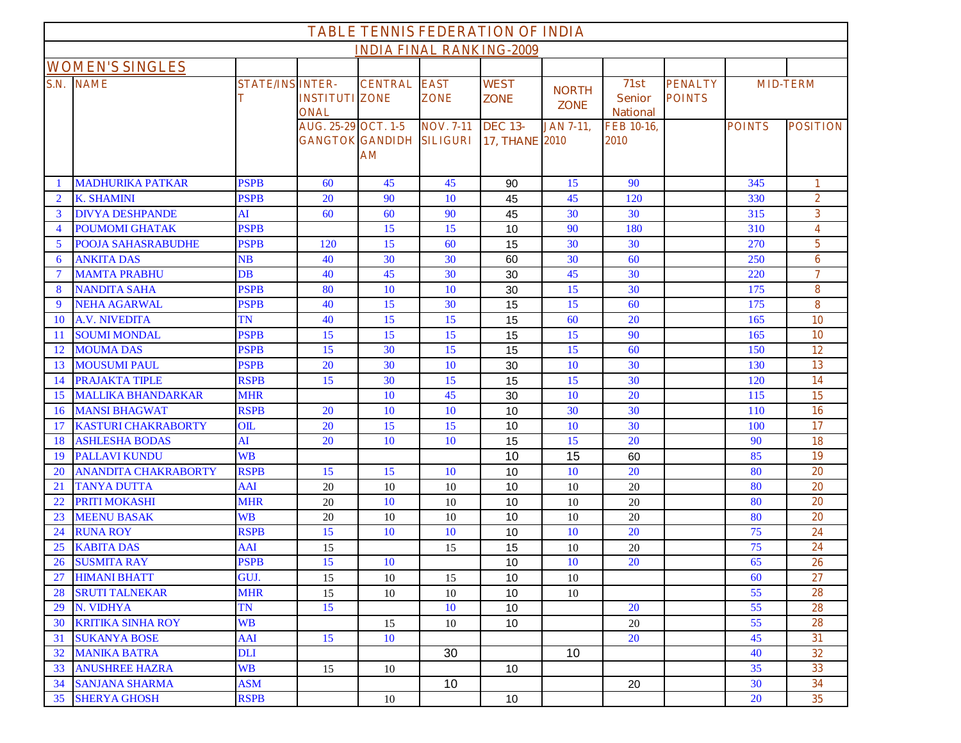| <b>TABLE TENNIS FEDERATION OF INDIA</b> |                             |                              |                                      |                                                           |                  |                                         |                             |                                          |                                 |                 |                         |
|-----------------------------------------|-----------------------------|------------------------------|--------------------------------------|-----------------------------------------------------------|------------------|-----------------------------------------|-----------------------------|------------------------------------------|---------------------------------|-----------------|-------------------------|
| <b>INDIA FINAL RANKING-2009</b>         |                             |                              |                                      |                                                           |                  |                                         |                             |                                          |                                 |                 |                         |
| <b>WOMEN'S SINGLES</b>                  |                             |                              |                                      |                                                           |                  |                                         |                             |                                          |                                 |                 |                         |
|                                         | <b>S.N. NAME</b>            | <b>STATE/INS INTER-</b><br>т | <b>INSTITUTI ZONE</b><br><b>ONAL</b> | <b>CENTRAL EAST</b>                                       | <b>ZONE</b>      | <b>WEST</b><br><b>ZONE</b>              | <b>NORTH</b><br><b>ZONE</b> | 71st<br><b>Senior</b><br><b>National</b> | <b>PENALTY</b><br><b>POINTS</b> | <b>MID-TERM</b> |                         |
|                                         |                             |                              | <b>AUG. 25-29 OCT. 1-5</b>           | <b>GANGTOK GANDIDH SILIGURI</b><br>$\mathbf{A}\mathbf{M}$ | <b>NOV. 7-11</b> | <b>DEC 13-</b><br><b>17, THANE 2010</b> | <b>JAN 7-11,</b>            | FEB 10-16,<br>2010                       |                                 | <b>POINTS</b>   | <b>POSITION</b>         |
|                                         | <b>MADHURIKA PATKAR</b>     | <b>PSPB</b>                  | 60                                   | 45                                                        | 45               | 90                                      | 15                          | 90                                       |                                 | 345             | 1                       |
| $\overline{2}$                          | <b>K. SHAMINI</b>           | <b>PSPB</b>                  | 20                                   | 90                                                        | 10               | 45                                      | 45                          | 120                                      |                                 | 330             | $\overline{2}$          |
| 3                                       | <b>DIVYA DESHPANDE</b>      | AI                           | 60                                   | 60                                                        | 90               | 45                                      | 30                          | 30                                       |                                 | 315             | 3 <sup>1</sup>          |
| $\overline{4}$                          | <b>POUMOMI GHATAK</b>       | <b>PSPB</b>                  |                                      | 15                                                        | 15               | 10                                      | 90                          | 180                                      |                                 | 310             | $\overline{\mathbf{4}}$ |
| 5                                       | <b>POOJA SAHASRABUDHE</b>   | <b>PSPB</b>                  | 120                                  | 15                                                        | 60               | 15                                      | 30                          | 30                                       |                                 | 270             | 5                       |
| 6                                       | <b>ANKITA DAS</b>           | NB                           | 40                                   | 30                                                        | 30               | 60                                      | 30                          | 60                                       |                                 | 250             | 6                       |
| $\overline{7}$                          | <b>MAMTA PRABHU</b>         | $DB$                         | 40                                   | 45                                                        | 30               | 30                                      | 45                          | 30                                       |                                 | 220             | $\overline{\tau}$       |
| 8                                       | <b>NANDITA SAHA</b>         | <b>PSPB</b>                  | 80                                   | 10                                                        | 10               | 30                                      | 15                          | 30                                       |                                 | 175             | 8                       |
| -9                                      | <b>NEHA AGARWAL</b>         | <b>PSPB</b>                  | 40                                   | 15                                                        | 30               | 15                                      | 15                          | 60                                       |                                 | 175             | 8                       |
| -10                                     | <b>A.V. NIVEDITA</b>        | TN                           | 40                                   | 15                                                        | 15               | 15                                      | 60                          | 20                                       |                                 | 165             | <b>10</b>               |
| -11                                     | <b>SOUMI MONDAL</b>         | <b>PSPB</b>                  | 15                                   | 15                                                        | 15               | 15                                      | 15                          | 90                                       |                                 | 165             | <b>10</b>               |
| 12                                      | <b>MOUMA DAS</b>            | <b>PSPB</b>                  | 15                                   | 30                                                        | 15               | 15                                      | 15                          | 60                                       |                                 | 150             | 12                      |
| 13                                      | <b>MOUSUMI PAUL</b>         | <b>PSPB</b>                  | 20                                   | 30                                                        | 10               | 30                                      | 10                          | 30                                       |                                 | 130             | 13                      |
| 14                                      | <b>PRAJAKTA TIPLE</b>       | <b>RSPB</b>                  | 15                                   | 30                                                        | 15               | 15                                      | 15                          | 30                                       |                                 | 120             | 14                      |
| 15                                      | <b>MALLIKA BHANDARKAR</b>   | <b>MHR</b>                   |                                      | 10                                                        | 45               | 30                                      | 10                          | 20                                       |                                 | 115             | 15                      |
| 16                                      | <b>MANSI BHAGWAT</b>        | <b>RSPB</b>                  | 20                                   | 10                                                        | 10               | 10                                      | 30                          | 30                                       |                                 | 110             | 16                      |
| 17                                      | <b>KASTURI CHAKRABORTY</b>  | OIL                          | 20                                   | 15                                                        | 15               | 10                                      | 10                          | 30                                       |                                 | 100             | 17                      |
| 18                                      | <b>ASHLESHA BODAS</b>       | AI                           | 20                                   | 10                                                        | 10               | 15                                      | 15                          | 20                                       |                                 | 90              | 18                      |
| 19                                      | <b>PALLAVI KUNDU</b>        | <b>WB</b>                    |                                      |                                                           |                  | 10                                      | 15                          | 60                                       |                                 | 85              | 19                      |
| <b>20</b>                               | <b>ANANDITA CHAKRABORTY</b> | <b>RSPB</b>                  | 15                                   | 15                                                        | 10               | 10                                      | 10                          | 20                                       |                                 | 80              | 20                      |
| 21                                      | <b>TANYA DUTTA</b>          | AAI                          | 20                                   | 10                                                        | 10               | 10                                      | 10                          | 20                                       |                                 | 80              | 20                      |
| 22                                      | PRITI MOKASHI               | <b>MHR</b>                   | 20                                   | 10                                                        | 10               | 10                                      | 10                          | 20                                       |                                 | 80              | 20                      |
| 23                                      | <b>MEENU BASAK</b>          | <b>WB</b>                    | 20                                   | 10                                                        | 10               | 10                                      | 10                          | 20                                       |                                 | 80              | 20                      |
| 24                                      | <b>RUNA ROY</b>             | <b>RSPB</b>                  | 15                                   | 10                                                        | 10               | 10                                      | 10                          | 20                                       |                                 | 75              | 24                      |
| 25                                      | <b>KABITA DAS</b>           | AAI                          | 15                                   |                                                           | 15               | 15                                      | 10                          | 20                                       |                                 | 75              | 24                      |
| 26                                      | <b>SUSMITA RAY</b>          | <b>PSPB</b>                  | 15                                   | 10                                                        |                  | 10                                      | 10                          | 20                                       |                                 | 65              | 26                      |
| 27                                      | <b>HIMANI BHATT</b>         | GUJ.                         | 15                                   | 10                                                        | 15               | 10                                      | 10                          |                                          |                                 | 60              | 27                      |
| 28                                      | <b>SRUTI TALNEKAR</b>       | <b>MHR</b>                   | 15                                   | 10                                                        | 10               | 10                                      | 10                          |                                          |                                 | 55              | 28                      |
| 29                                      | N. VIDHYA                   | <b>TN</b>                    | 15                                   |                                                           | 10               | 10                                      |                             | 20                                       |                                 | 55              | 28                      |
| 30                                      | <b>KRITIKA SINHA ROY</b>    | <b>WB</b>                    |                                      | 15                                                        | 10               | 10                                      |                             | 20                                       |                                 | 55              | 28                      |
| 31                                      | <b>SUKANYA BOSE</b>         | AAI                          | 15                                   | 10                                                        |                  |                                         |                             | 20                                       |                                 | 45              | 31                      |
| 32                                      | <b>MANIKA BATRA</b>         | <b>DLI</b>                   |                                      |                                                           | 30               |                                         | 10 <sup>°</sup>             |                                          |                                 | 40              | 32                      |
| 33                                      | <b>ANUSHREE HAZRA</b>       | <b>WB</b>                    | 15                                   | $10\,$                                                    |                  | 10                                      |                             |                                          |                                 | 35              | 33                      |
| 34                                      | <b>SANJANA SHARMA</b>       | <b>ASM</b>                   |                                      |                                                           | 10               |                                         |                             | 20                                       |                                 | 30              | 34                      |
| 35                                      | <b>SHERYA GHOSH</b>         | <b>RSPB</b>                  |                                      | 10                                                        |                  | 10                                      |                             |                                          |                                 | <b>20</b>       | 35 <sup>5</sup>         |